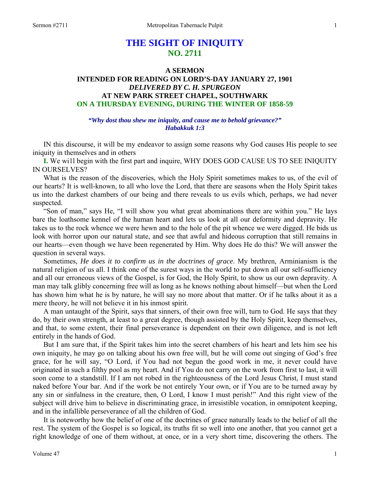# **THE SIGHT OF INIQUITY NO. 2711**

### **A SERMON**

# **INTENDED FOR READING ON LORD'S-DAY JANUARY 27, 1901**  *DELIVERED BY C. H. SPURGEON*  **AT NEW PARK STREET CHAPEL, SOUTHWARK ON A THURSDAY EVENING, DURING THE WINTER OF 1858-59**

## *"Why dost thou shew me iniquity, and cause me to behold grievance?" Habakkuk 1:3*

 IN this discourse, it will be my endeavor to assign some reasons why God causes His people to see iniquity in themselves and in others

**I.** We wi1l begin with the first part and inquire, WHY DOES GOD CAUSE US TO SEE INIQUITY IN OURSELVES?

 What is the reason of the discoveries, which the Holy Spirit sometimes makes to us, of the evil of our hearts? It is well-known, to all who love the Lord, that there are seasons when the Holy Spirit takes us into the darkest chambers of our being and there reveals to us evils which, perhaps, we had never suspected.

 "Son of man," says He, "I will show you what great abominations there are within you." He lays bare the loathsome kennel of the human heart and lets us look at all our deformity and depravity. He takes us to the rock whence we were hewn and to the hole of the pit whence we were digged. He bids us look with horror upon our natural state, and see that awful and hideous corruption that still remains in our hearts—even though we have been regenerated by Him. Why does He do this? We will answer the question in several ways.

 Sometimes, *He does it to confirm us in the doctrines of grace*. My brethren, Arminianism is the natural religion of us all. I think one of the surest ways in the world to put down all our self-sufficiency and all our erroneous views of the Gospel, is for God, the Holy Spirit, to show us our own depravity. A man may talk glibly concerning free will as long as he knows nothing about himself—but when the Lord has shown him what he is by nature, he will say no more about that matter. Or if he talks about it as a mere theory, he will not believe it in his inmost spirit.

 A man untaught of the Spirit, says that sinners, of their own free will, turn to God. He says that they do, by their own strength, at least to a great degree, though assisted by the Holy Spirit, keep themselves, and that, to some extent, their final perseverance is dependent on their own diligence, and is not left entirely in the hands of God.

 But I am sure that, if the Spirit takes him into the secret chambers of his heart and lets him see his own iniquity, he may go on talking about his own free will, but he will come out singing of God's free grace, for he will say, "O Lord, if You had not begun the good work in me, it never could have originated in such a filthy pool as my heart. And if You do not carry on the work from first to last, it will soon come to a standstill. If I am not robed in the righteousness of the Lord Jesus Christ, I must stand naked before Your bar. And if the work be not entirely Your own, or if You are to be turned away by any sin or sinfulness in the creature, then, O Lord, I know I must perish!" And this right view of the subject will drive him to believe in discriminating grace, in irresistible vocation, in omnipotent keeping, and in the infallible perseverance of all the children of God.

 It is noteworthy how the belief of one of the doctrines of grace naturally leads to the belief of all the rest. The system of the Gospel is so logical, its truths fit so well into one another, that you cannot get a right knowledge of one of them without, at once, or in a very short time, discovering the others. The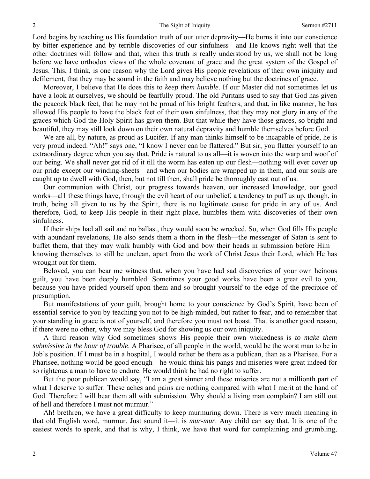Lord begins by teaching us His foundation truth of our utter depravity—He burns it into our conscience by bitter experience and by terrible discoveries of our sinfulness—and He knows right well that the other doctrines will follow and that, when this truth is really understood by us, we shall not be long before we have orthodox views of the whole covenant of grace and the great system of the Gospel of Jesus. This, I think, is one reason why the Lord gives His people revelations of their own iniquity and defilement, that they may be sound in the faith and may believe nothing but the doctrines of grace.

 Moreover, I believe that He does this to *keep them humble*. If our Master did not sometimes let us have a look at ourselves, we should be fearfully proud. The old Puritans used to say that God has given the peacock black feet, that he may not be proud of his bright feathers, and that, in like manner, he has allowed His people to have the black feet of their own sinfulness, that they may not glory in any of the graces which God the Holy Spirit has given them. But that while they have those graces, so bright and beautiful, they may still look down on their own natural depravity and humble themselves before God.

We are all, by nature, as proud as Lucifer. If any man thinks himself to be incapable of pride, he is very proud indeed. "Ah!" says one, "I know I never can be flattered." But sir, you flatter yourself to an extraordinary degree when you say that. Pride is natural to us all—it is woven into the warp and woof of our being. We shall never get rid of it till the worm has eaten up our flesh—nothing will ever cover up our pride except our winding-sheets—and when our bodies are wrapped up in them, and our souls are caught up to dwell with God, then, but not till then, shall pride be thoroughly cast out of us.

 Our communion with Christ, our progress towards heaven, our increased knowledge, our good works—al1 these things have, through the evil heart of our unbelief, a tendency to puff us up, though, in truth, being all given to us by the Spirit, there is no legitimate cause for pride in any of us. And therefore, God, to keep His people in their right place, humbles them with discoveries of their own sinfulness.

 If their ships had all sail and no ballast, they would soon be wrecked. So, when God fills His people with abundant revelations, He also sends them a thorn in the flesh—the messenger of Satan is sent to buffet them, that they may walk humbly with God and bow their heads in submission before Him knowing themselves to still be unclean, apart from the work of Christ Jesus their Lord, which He has wrought out for them.

 Beloved, you can bear me witness that, when you have had sad discoveries of your own heinous guilt, you have been deeply humbled. Sometimes your good works have been a great evil to you, because you have prided yourself upon them and so brought yourself to the edge of the precipice of presumption.

 But manifestations of your guilt, brought home to your conscience by God's Spirit, have been of essential service to you by teaching you not to be high-minded, but rather to fear, and to remember that your standing in grace is not of yourself, and therefore you must not boast. That is another good reason, if there were no other, why we may bless God for showing us our own iniquity.

 A third reason why God sometimes shows His people their own wickedness is *to make them submissive in the hour of trouble*. A Pharisee, of all people in the world, would be the worst man to be in Job's position. If I must be in a hospital, I would rather be there as a publican, than as a Pharisee. For a Pharisee, nothing would be good enough—he would think his pangs and miseries were great indeed for so righteous a man to have to endure. He would think he had no right to suffer.

 But the poor publican would say, "I am a great sinner and these miseries are not a millionth part of what I deserve to suffer. These aches and pains are nothing compared with what I merit at the hand of God. Therefore I will bear them all with submission. Why should a living man complain? I am still out of hell and therefore I must not murmur."

 Ah! brethren, we have a great difficulty to keep murmuring down. There is very much meaning in that old English word, murmur. Just sound it—it is *mur-mur*. Any child can say that. It is one of the easiest words to speak, and that is why, I think, we have that word for complaining and grumbling,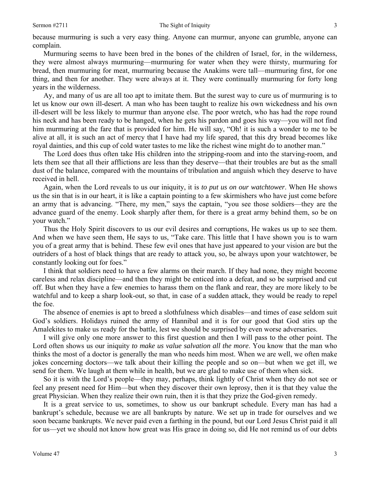because murmuring is such a very easy thing. Anyone can murmur, anyone can grumble, anyone can complain.

 Murmuring seems to have been bred in the bones of the children of Israel, for, in the wilderness, they were almost always murmuring—murmuring for water when they were thirsty, murmuring for bread, then murmuring for meat, murmuring because the Anakims were tall—murmuring first, for one thing, and then for another. They were always at it. They were continually murmuring for forty long years in the wilderness.

 Ay, and many of us are all too apt to imitate them. But the surest way to cure us of murmuring is to let us know our own ill-desert. A man who has been taught to realize his own wickedness and his own ill-desert will be less likely to murmur than anyone else. The poor wretch, who has had the rope round his neck and has been ready to be hanged, when he gets his pardon and goes his way—you will not find him murmuring at the fare that is provided for him. He will say, "Oh! it is such a wonder to me to be alive at all, it is such an act of mercy that I have had my life spared, that this dry bread becomes like royal dainties, and this cup of cold water tastes to me like the richest wine might do to another man."

 The Lord does thus often take His children into the stripping-room and into the starving-room, and lets them see that all their afflictions are less than they deserve—that their troubles are but as the small dust of the balance, compared with the mountains of tribulation and anguish which they deserve to have received in hell.

 Again, when the Lord reveals to us our iniquity, it is *to put us on our watchtower*. When He shows us the sin that is in our heart, it is like a captain pointing to a few skirmishers who have just come before an army that is advancing. "There, my men," says the captain, "you see those soldiers—they are the advance guard of the enemy. Look sharply after them, for there is a great army behind them, so be on your watch."

 Thus the Holy Spirit discovers to us our evil desires and corruptions, He wakes us up to see them. And when we have seen them, He says to us, "Take care. This little that I have shown you is to warn you of a great army that is behind. These few evil ones that have just appeared to your vision are but the outriders of a host of black things that are ready to attack you, so, be always upon your watchtower, be constantly looking out for foes."

 I think that soldiers need to have a few alarms on their march. If they had none, they might become careless and relax discipline—and then they might be enticed into a defeat, and so be surprised and cut off. But when they have a few enemies to harass them on the flank and rear, they are more likely to be watchful and to keep a sharp look-out, so that, in case of a sudden attack, they would be ready to repel the foe.

 The absence of enemies is apt to breed a slothfulness which disables—and times of ease seldom suit God's soldiers. Holidays ruined the army of Hannibal and it is for our good that God stirs up the Amalekites to make us ready for the battle, lest we should be surprised by even worse adversaries.

 I will give only one more answer to this first question and then I will pass to the other point. The Lord often shows us our iniquity *to make us value salvation all the more*. You know that the man who thinks the most of a doctor is generally the man who needs him most. When we are well, we often make jokes concerning doctors—we talk about their killing the people and so on—but when we get ill, we send for them. We laugh at them while in health, but we are glad to make use of them when sick.

 So it is with the Lord's people—they may, perhaps, think lightly of Christ when they do not see or feel any present need for Him—but when they discover their own leprosy, then it is that they value the great Physician. When they realize their own ruin, then it is that they prize the God-given remedy.

 It is a great service to us, sometimes, to show us our bankrupt schedule. Every man has had a bankrupt's schedule, because we are all bankrupts by nature. We set up in trade for ourselves and we soon became bankrupts. We never paid even a farthing in the pound, but our Lord Jesus Christ paid it all for us—yet we should not know how great was His grace in doing so, did He not remind us of our debts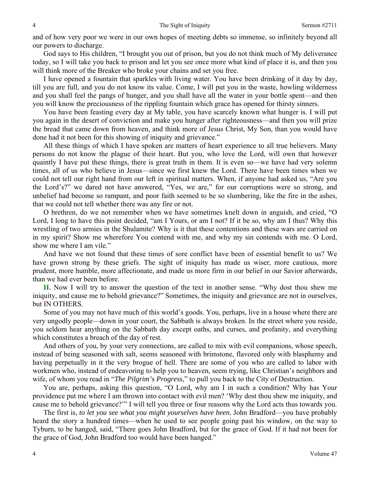and of how very poor we were in our own hopes of meeting debts so immense, so infinitely beyond all our powers to discharge.

 God says to His children, "I brought you out of prison, but you do not think much of My deliverance today, so I will take you back to prison and let you see once more what kind of place it is, and then you will think more of the Breaker who broke your chains and set you free.

 I have opened a fountain that sparkles with living water. You have been drinking of it day by day, till you are full, and you do not know its value. Come, I will put you in the waste, howling wilderness and you shall feel the pangs of hunger, and you shall have all the water in your bottle spent—and then you will know the preciousness of the rippling fountain which grace has opened for thirsty sinners.

 You have been feasting every day at My table, you have scarcely known what hunger is. I will put you again in the desert of conviction and make you hunger after righteousness—and then you will prize the bread that came down from heaven, and think more of Jesus Christ, My Son, than you would have done had it not been for this showing of iniquity and grievance."

 All these things of which I have spoken are matters of heart experience to all true believers. Many persons do not know the plague of their heart. But you, who love the Lord, will own that however quaintly I have put these things, there is great truth in them. It is even so—we have had very solemn times, all of us who believe in Jesus—since we first knew the Lord. There have been times when we could not tell our right hand from our left in spiritual matters. When, if anyone had asked us, "Are you the Lord's?" we dared not have answered, "Yes, we are," for our corruptions were so strong, and unbelief had become so rampant, and poor faith seemed to be so slumbering, like the fire in the ashes, that we could not tell whether there was any fire or not.

 O brethren, do we not remember when we have sometimes knelt down in anguish, and cried, "O Lord, I long to have this point decided, "am I Yours, or am I not? If it be so, why am I thus? Why this wrestling of two armies in the Shulamite? Why is it that these contentions and these wars are carried on in my spirit? Show me wherefore You contend with me, and why my sin contends with me. O Lord, show me where I am vile."

 And have we not found that these times of sore conflict have been of essential benefit to us? We have grown strong by these griefs. The sight of iniquity has made us wiser, more cautious, more prudent, more humble, more affectionate, and made us more firm in our belief in our Savior afterwards, than we had ever been before.

**II.** Now I will try to answer the question of the text in another sense. "Why dost thou shew me iniquity, and cause me to behold grievance?" Sometimes, the iniquity and grievance are not in ourselves, but IN OTHERS.

 Some of you may not have much of this world's goods. You, perhaps, live in a house where there are very ungodly people—down in your court, the Sabbath is always broken. In the street where you reside, you seldom hear anything on the Sabbath day except oaths, and curses, and profanity, and everything which constitutes a breach of the day of rest.

 And others of you, by your very connections, are called to mix with evil companions, whose speech, instead of being seasoned with salt, seems seasoned with brimstone, flavored only with blasphemy and having perpetually in it the very brogue of hell. There are some of you who are called to labor with workmen who, instead of endeavoring to help you to heaven, seem trying, like Christian's neighbors and wife, of whom you read in "*The Pilgrim's Progress*," to pull you back to the City of Destruction.

 You are, perhaps, asking this question, "O Lord, why am I in such a condition? Why has Your providence put me where I am thrown into contact with evil men? 'Why dost thou shew me iniquity, and cause me to behold grievance?'" I will tell you three or four reasons why the Lord acts thus towards you.

 The first is, *to let you see what you might yourselves have been.* John Bradford—you have probably heard the story a hundred times—when he used to see people going past his window, on the way to Tyburn, to be hanged, said, "There goes John Bradford, but for the grace of God. If it had not been for the grace of God, John Bradford too would have been hanged."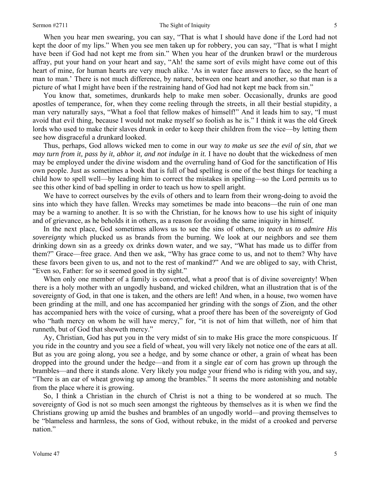#### Sermon #2711 Sermon #2711 Shapes The Sight of Iniquity 5

 When you hear men swearing, you can say, "That is what I should have done if the Lord had not kept the door of my lips." When you see men taken up for robbery, you can say, "That is what I might have been if God had not kept me from sin." When you hear of the drunken brawl or the murderous affray, put your hand on your heart and say, "Ah! the same sort of evils might have come out of this heart of mine, for human hearts are very much alike. 'As in water face answers to face, so the heart of man to man.' There is not much difference, by nature, between one heart and another, so that man is a picture of what I might have been if the restraining hand of God had not kept me back from sin."

 You know that, sometimes, drunkards help to make men sober. Occasionally, drunks are good apostles of temperance, for, when they come reeling through the streets, in all their bestial stupidity, a man very naturally says, "What a fool that fellow makes of himself!" And it leads him to say, "I must avoid that evil thing, because I would not make myself so foolish as he is." I think it was the old Greek lords who used to make their slaves drunk in order to keep their children from the vice—by letting them see how disgraceful a drunkard looked.

 Thus, perhaps, God allows wicked men to come in our way *to make us see the evil of sin, that we may turn from it, pass by it, abhor it, and not indulge in it.* I have no doubt that the wickedness of men may be employed under the divine wisdom and the overruling hand of God for the sanctification of His own people. Just as sometimes a book that is full of bad spelling is one of the best things for teaching a child how to spell well—by leading him to correct the mistakes in spelling—so the Lord permits us to see this other kind of bad spelling in order to teach us how to spell aright.

We have to correct ourselves by the evils of others and to learn from their wrong-doing to avoid the sins into which they have fallen. Wrecks may sometimes be made into beacons—the ruin of one man may be a warning to another. It is so with the Christian, for he knows how to use his sight of iniquity and of grievance, as he beholds it in others, as a reason for avoiding the same iniquity in himself.

 In the next place, God sometimes allows us to see the sins of others, *to teach us to admire His sovereignty* which plucked us as brands from the burning. We look at our neighbors and see them drinking down sin as a greedy ox drinks down water, and we say, "What has made us to differ from them?" Grace—free grace. And then we ask, "Why has grace come to us, and not to them? Why have these favors been given to us, and not to the rest of mankind?" And we are obliged to say, with Christ, "Even so, Father: for so it seemed good in thy sight."

 When only one member of a family is converted, what a proof that is of divine sovereignty! When there is a holy mother with an ungodly husband, and wicked children, what an illustration that is of the sovereignty of God, in that one is taken, and the others are left! And when, in a house, two women have been grinding at the mill, and one has accompanied her grinding with the songs of Zion, and the other has accompanied hers with the voice of cursing, what a proof there has been of the sovereignty of God who "hath mercy on whom he will have mercy," for, "it is not of him that willeth, nor of him that runneth, but of God that sheweth mercy."

 Ay, Christian, God has put you in the very midst of sin to make His grace the more conspicuous. If you ride in the country and you see a field of wheat, you will very likely not notice one of the ears at all. But as you are going along, you see a hedge, and by some chance or other, a grain of wheat has been dropped into the ground under the hedge—and from it a single ear of corn has grown up through the brambles—and there it stands alone. Very likely you nudge your friend who is riding with you, and say, "There is an ear of wheat growing up among the brambles." It seems the more astonishing and notable from the place where it is growing.

 So, I think a Christian in the church of Christ is not a thing to be wondered at so much. The sovereignty of God is not so much seen amongst the righteous by themselves as it is when we find the Christians growing up amid the bushes and brambles of an ungodly world—and proving themselves to be "blameless and harmless, the sons of God, without rebuke, in the midst of a crooked and perverse nation."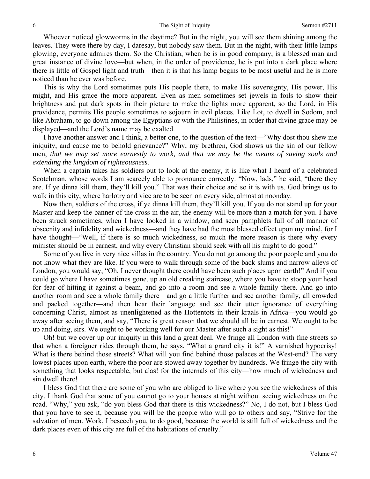Whoever noticed glowworms in the daytime? But in the night, you will see them shining among the leaves. They were there by day, I daresay, but nobody saw them. But in the night, with their little lamps glowing, everyone admires them. So the Christian, when he is in good company, is a blessed man and great instance of divine love—but when, in the order of providence, he is put into a dark place where there is little of Gospel light and truth—then it is that his lamp begins to be most useful and he is more noticed than he ever was before.

 This is why the Lord sometimes puts His people there, to make His sovereignty, His power, His might, and His grace the more apparent. Even as men sometimes set jewels in foils to show their brightness and put dark spots in their picture to make the lights more apparent, so the Lord, in His providence, permits His people sometimes to sojourn in evil places. Like Lot, to dwell in Sodom, and like Abraham, to go down among the Egyptians or with the Philistines, in order that divine grace may be displayed—and the Lord's name may be exalted.

 I have another answer and I think, a better one, to the question of the text—"Why dost thou shew me iniquity, and cause me to behold grievance?" Why, my brethren, God shows us the sin of our fellow men, *that we may set more earnestly to work, and that we may be the means of saving souls and extending the kingdom of righteousness*.

When a captain takes his soldiers out to look at the enemy, it is like what I heard of a celebrated Scotchman, whose words I am scarcely able to pronounce correctly. "Now, lads," he said, "there they are. If ye dinna kill them, they'll kill you." That was their choice and so it is with us. God brings us to walk in this city, where harlotry and vice are to be seen on every side, almost at noonday.

 Now then, soldiers of the cross, if ye dinna kill them, they'll kill you. If you do not stand up for your Master and keep the banner of the cross in the air, the enemy will be more than a match for you. I have been struck sometimes, when I have looked in a window, and seen pamphlets full of all manner of obscenity and infidelity and wickedness—and they have had the most blessed effect upon my mind, for I have thought—"Well, if there is so much wickedness, so much the more reason is there why every minister should be in earnest, and why every Christian should seek with all his might to do good."

 Some of you live in very nice villas in the country. You do not go among the poor people and you do not know what they are like. If you were to walk through some of the back slums and narrow alleys of London, you would say, "Oh, I never thought there could have been such places upon earth!" And if you could go where I have sometimes gone, up an old creaking staircase, where you have to stoop your head for fear of hitting it against a beam, and go into a room and see a whole family there. And go into another room and see a whole family there—and go a little further and see another family, all crowded and packed together—and then hear their language and see their utter ignorance of everything concerning Christ, almost as unenlightened as the Hottentots in their kraals in Africa—you would go away after seeing them, and say, "There is great reason that we should all be in earnest. We ought to be up and doing, sirs. We ought to be working well for our Master after such a sight as this!"

 Oh! but we cover up our iniquity in this land a great deal. We fringe all London with fine streets so that when a foreigner rides through them, he says, "What a grand city it is!" A varnished hypocrisy! What is there behind those streets? What will you find behind those palaces at the West-end? The very lowest places upon earth, where the poor are stowed away together by hundreds. We fringe the city with something that looks respectable, but alas! for the internals of this city—how much of wickedness and sin dwell there!

 I bless God that there are some of you who are obliged to live where you see the wickedness of this city. I thank God that some of you cannot go to your houses at night without seeing wickedness on the road. "Why," you ask, "do you bless God that there is this wickedness?" No, I do not, but I bless God that you have to see it, because you will be the people who will go to others and say, "Strive for the salvation of men. Work, I beseech you, to do good, because the world is still full of wickedness and the dark places even of this city are full of the habitations of cruelty."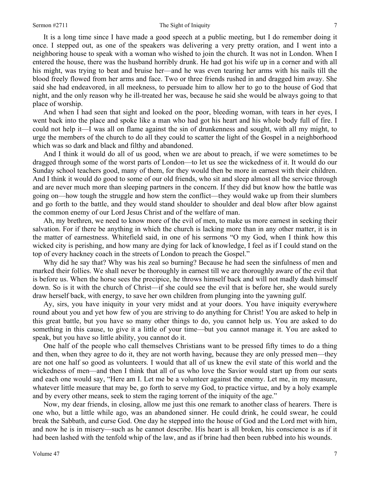### Sermon #2711 The Sight of Iniquity 7

 It is a long time since I have made a good speech at a public meeting, but I do remember doing it once. I stepped out, as one of the speakers was delivering a very pretty oration, and I went into a neighboring house to speak with a woman who wished to join the church. It was not in London. When I entered the house, there was the husband horribly drunk. He had got his wife up in a corner and with all his might, was trying to beat and bruise her—and he was even tearing her arms with his nails till the blood freely flowed from her arms and face. Two or three friends rushed in and dragged him away. She said she had endeavored, in all meekness, to persuade him to allow her to go to the house of God that night, and the only reason why he ill-treated her was, because he said she would be always going to that place of worship.

 And when I had seen that sight and looked on the poor, bleeding woman, with tears in her eyes, I went back into the place and spoke like a man who had got his heart and his whole body full of fire. I could not help it—I was all on flame against the sin of drunkenness and sought, with all my might, to urge the members of the church to do all they could to scatter the light of the Gospel in a neighborhood which was so dark and black and filthy and abandoned.

 And I think it would do all of us good, when we are about to preach, if we were sometimes to be dragged through some of the worst parts of London—to let us see the wickedness of it. It would do our Sunday school teachers good, many of them, for they would then be more in earnest with their children. And I think it would do good to some of our old friends, who sit and sleep almost all the service through and are never much more than sleeping partners in the concern. If they did but know how the battle was going on—how tough the struggle and how stern the conflict—they would wake up from their slumbers and go forth to the battle, and they would stand shoulder to shoulder and deal blow after blow against the common enemy of our Lord Jesus Christ and of the welfare of man.

 Ah, my brethren, we need to know more of the evil of men, to make us more earnest in seeking their salvation. For if there be anything in which the church is lacking more than in any other matter, it is in the matter of earnestness. Whitefield said, in one of his sermons "O my God, when I think how this wicked city is perishing, and how many are dying for lack of knowledge, I feel as if I could stand on the top of every hackney coach in the streets of London to preach the Gospel."

 Why did he say that? Why was his zeal so burning? Because he had seen the sinfulness of men and marked their follies. We shall never be thoroughly in earnest till we are thoroughly aware of the evil that is before us. When the horse sees the precipice, he throws himself back and will not madly dash himself down. So is it with the church of Christ—if she could see the evil that is before her, she would surely draw herself back, with energy, to save her own children from plunging into the yawning gulf.

 Ay, sirs, you have iniquity in your very midst and at your doors. You have iniquity everywhere round about you and yet how few of you are striving to do anything for Christ! You are asked to help in this great battle, but you have so many other things to do, you cannot help us. You are asked to do something in this cause, to give it a little of your time—but you cannot manage it. You are asked to speak, but you have so little ability, you cannot do it.

 One half of the people who call themselves Christians want to be pressed fifty times to do a thing and then, when they agree to do it, they are not worth having, because they are only pressed men—they are not one half so good as volunteers. I would that all of us knew the evil state of this world and the wickedness of men—and then I think that all of us who love the Savior would start up from our seats and each one would say, "Here am I. Let me be a volunteer against the enemy. Let me, in my measure, whatever little measure that may be, go forth to serve my God, to practice virtue, and by a holy example and by every other means, seek to stem the raging torrent of the iniquity of the age."

 Now, my dear friends, in closing, allow me just this one remark to another class of hearers. There is one who, but a little while ago, was an abandoned sinner. He could drink, he could swear, he could break the Sabbath, and curse God. One day he stepped into the house of God and the Lord met with him, and now he is in misery—such as he cannot describe. His heart is all broken, his conscience is as if it had been lashed with the tenfold whip of the law, and as if brine had then been rubbed into his wounds.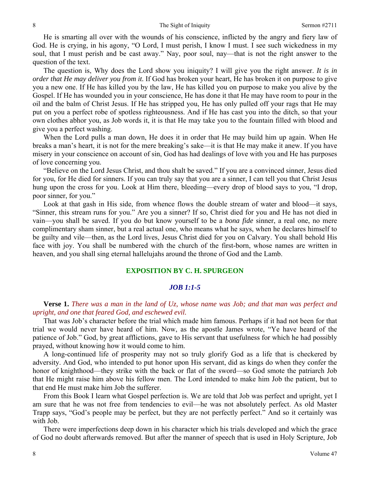He is smarting all over with the wounds of his conscience, inflicted by the angry and fiery law of God. He is crying, in his agony, "O Lord, I must perish, I know I must. I see such wickedness in my soul, that I must perish and be cast away." Nay, poor soul, nay—that is not the right answer to the question of the text.

 The question is, Why does the Lord show you iniquity? I will give you the right answer. *It is in order that He may deliver you from it.* If God has broken your heart, He has broken it on purpose to give you a new one. If He has killed you by the law, He has killed you on purpose to make you alive by the Gospel. If He has wounded you in your conscience, He has done it that He may have room to pour in the oil and the balm of Christ Jesus. If He has stripped you, He has only pulled off your rags that He may put on you a perfect robe of spotless righteousness. And if He has cast you into the ditch, so that your own clothes abhor you, as Job words it, it is that He may take you to the fountain filled with blood and give you a perfect washing.

 When the Lord pulls a man down, He does it in order that He may build him up again. When He breaks a man's heart, it is not for the mere breaking's sake—it is that He may make it anew. If you have misery in your conscience on account of sin, God has had dealings of love with you and He has purposes of love concerning you.

 "Believe on the Lord Jesus Christ, and thou shalt be saved." If you are a convinced sinner, Jesus died for you, for He died for sinners. If you can truly say that you are a sinner, I can tell you that Christ Jesus hung upon the cross for you. Look at Him there, bleeding—every drop of blood says to you, "I drop, poor sinner, for you."

 Look at that gash in His side, from whence flows the double stream of water and blood—it says, "Sinner, this stream runs for you." Are you a sinner? If so, Christ died for you and He has not died in vain—you shall be saved. If you do but know yourself to be a *bona fide* sinner, a real one, no mere complimentary sham sinner, but a real actual one, who means what he says, when he declares himself to be guilty and vile—then, as the Lord lives, Jesus Christ died for you on Calvary. You shall behold His face with joy. You shall be numbered with the church of the first-born, whose names are written in heaven, and you shall sing eternal hallelujahs around the throne of God and the Lamb.

# **EXPOSITION BY C. H. SPURGEON**

### *JOB 1:1-5*

**Verse 1.** *There was a man in the land of Uz, whose name was Job; and that man was perfect and upright, and one that feared God, and eschewed evil.* 

That was Job's character before the trial which made him famous. Perhaps if it had not been for that trial we would never have heard of him. Now, as the apostle James wrote, "Ye have heard of the patience of Job." God, by great afflictions, gave to His servant that usefulness for which he had possibly prayed, without knowing how it would come to him.

 A long-continued life of prosperity may not so truly glorify God as a life that is checkered by adversity. And God, who intended to put honor upon His servant, did as kings do when they confer the honor of knighthood—they strike with the back or flat of the sword—so God smote the patriarch Job that He might raise him above his fellow men. The Lord intended to make him Job the patient, but to that end He must make him Job the sufferer.

 From this Book I learn what Gospel perfection is. We are told that Job was perfect and upright, yet I am sure that he was not free from tendencies to evil—he was not absolutely perfect. As old Master Trapp says, "God's people may be perfect, but they are not perfectly perfect." And so it certainly was with Job.

 There were imperfections deep down in his character which his trials developed and which the grace of God no doubt afterwards removed. But after the manner of speech that is used in Holy Scripture, Job